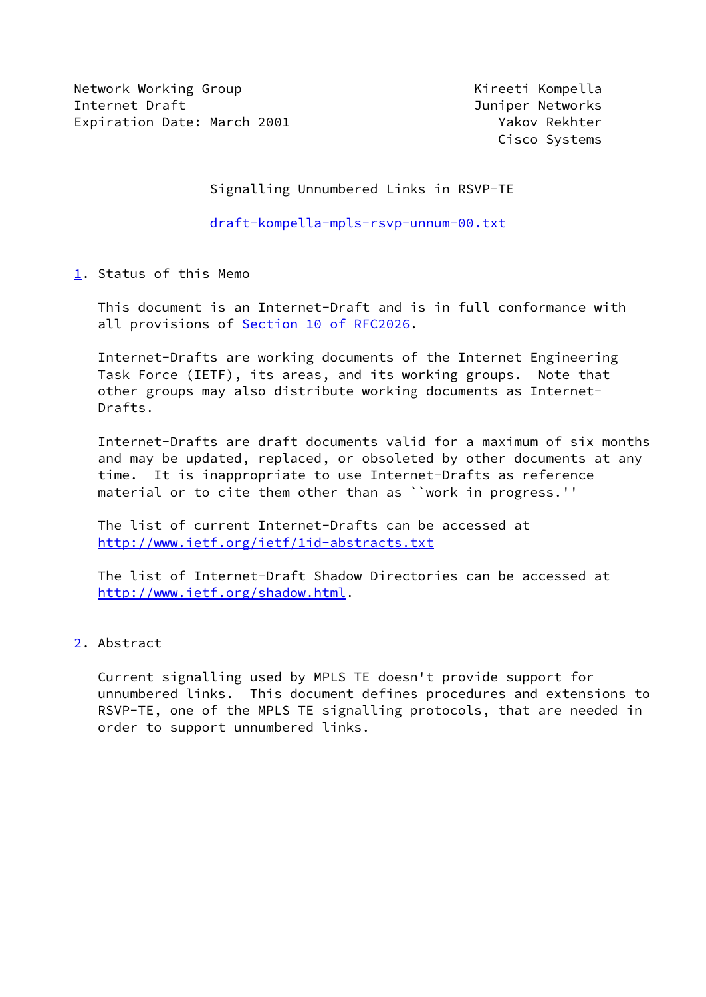Network Working Group **Kireeti Kompella** Internet Draft Juniper Networks Expiration Date: March 2001 Yakov Rekhter

Cisco Systems

Signalling Unnumbered Links in RSVP-TE

[draft-kompella-mpls-rsvp-unnum-00.txt](https://datatracker.ietf.org/doc/pdf/draft-kompella-mpls-rsvp-unnum-00.txt)

<span id="page-0-0"></span>[1](#page-0-0). Status of this Memo

 This document is an Internet-Draft and is in full conformance with all provisions of Section [10 of RFC2026.](https://datatracker.ietf.org/doc/pdf/rfc2026#section-10)

 Internet-Drafts are working documents of the Internet Engineering Task Force (IETF), its areas, and its working groups. Note that other groups may also distribute working documents as Internet- Drafts.

 Internet-Drafts are draft documents valid for a maximum of six months and may be updated, replaced, or obsoleted by other documents at any time. It is inappropriate to use Internet-Drafts as reference material or to cite them other than as ``work in progress.''

 The list of current Internet-Drafts can be accessed at <http://www.ietf.org/ietf/1id-abstracts.txt>

 The list of Internet-Draft Shadow Directories can be accessed at <http://www.ietf.org/shadow.html>.

<span id="page-0-1"></span>[2](#page-0-1). Abstract

 Current signalling used by MPLS TE doesn't provide support for unnumbered links. This document defines procedures and extensions to RSVP-TE, one of the MPLS TE signalling protocols, that are needed in order to support unnumbered links.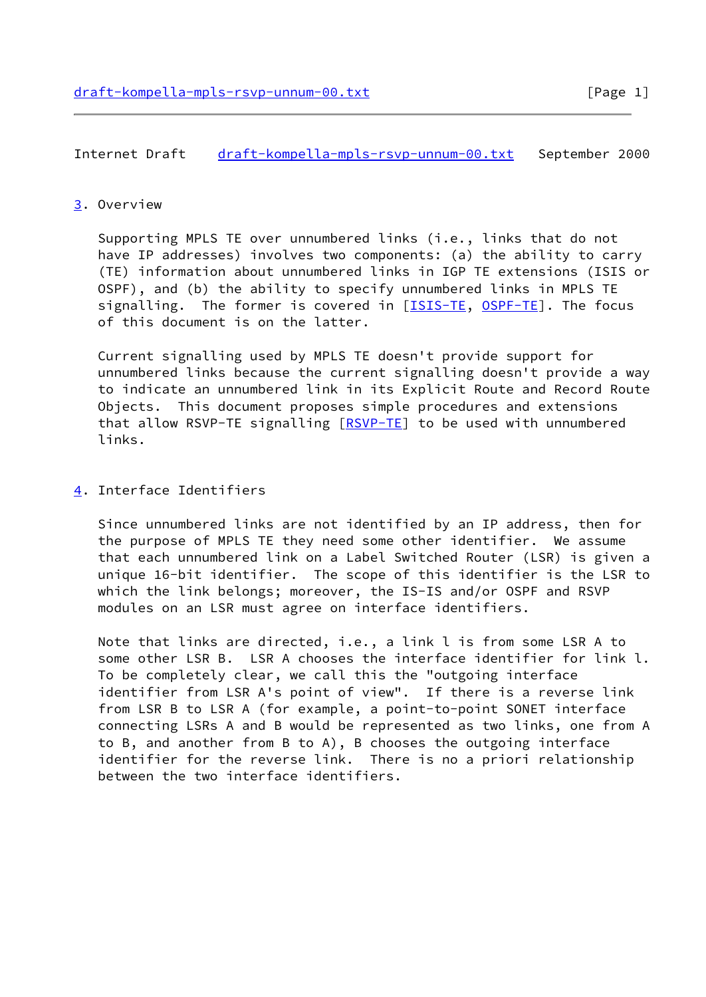Internet Draft [draft-kompella-mpls-rsvp-unnum-00.txt](https://datatracker.ietf.org/doc/pdf/draft-kompella-mpls-rsvp-unnum-00.txt) September 2000

## <span id="page-1-0"></span>[3](#page-1-0). Overview

 Supporting MPLS TE over unnumbered links (i.e., links that do not have IP addresses) involves two components: (a) the ability to carry (TE) information about unnumbered links in IGP TE extensions (ISIS or OSPF), and (b) the ability to specify unnumbered links in MPLS TE signalling. The former is covered in [[ISIS-TE](#page-6-0), [OSPF-TE](#page-6-1)]. The focus of this document is on the latter.

 Current signalling used by MPLS TE doesn't provide support for unnumbered links because the current signalling doesn't provide a way to indicate an unnumbered link in its Explicit Route and Record Route Objects. This document proposes simple procedures and extensions that allow RSVP-TE signalling [[RSVP-TE](#page-6-2)] to be used with unnumbered links.

<span id="page-1-1"></span>[4](#page-1-1). Interface Identifiers

 Since unnumbered links are not identified by an IP address, then for the purpose of MPLS TE they need some other identifier. We assume that each unnumbered link on a Label Switched Router (LSR) is given a unique 16-bit identifier. The scope of this identifier is the LSR to which the link belongs; moreover, the IS-IS and/or OSPF and RSVP modules on an LSR must agree on interface identifiers.

 Note that links are directed, i.e., a link l is from some LSR A to some other LSR B. LSR A chooses the interface identifier for link l. To be completely clear, we call this the "outgoing interface identifier from LSR A's point of view". If there is a reverse link from LSR B to LSR A (for example, a point-to-point SONET interface connecting LSRs A and B would be represented as two links, one from A to B, and another from B to A), B chooses the outgoing interface identifier for the reverse link. There is no a priori relationship between the two interface identifiers.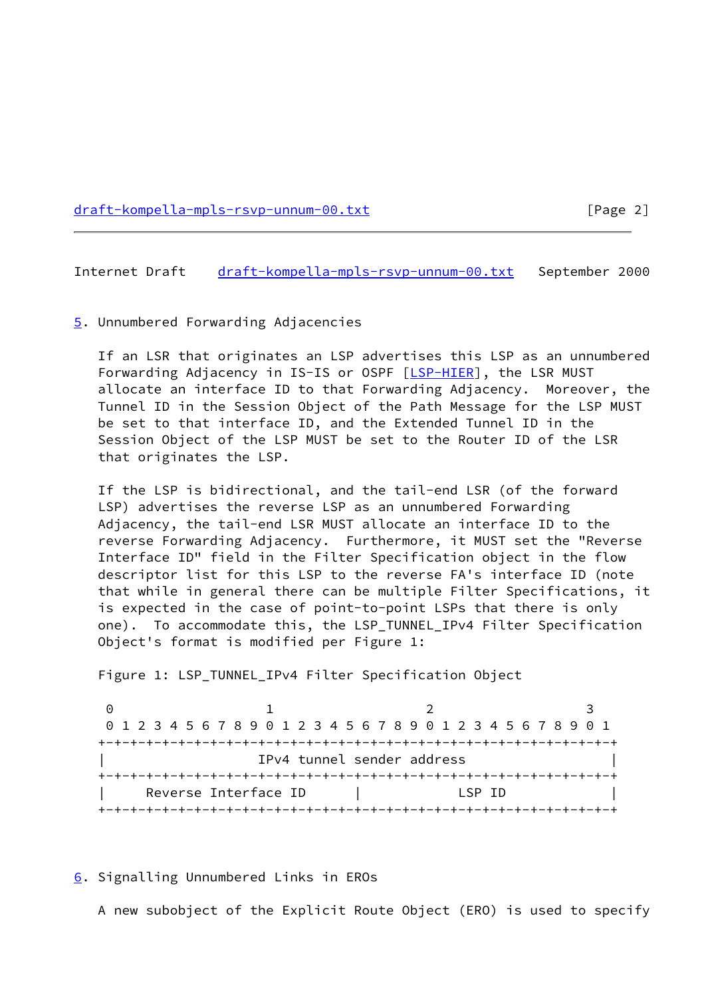[draft-kompella-mpls-rsvp-unnum-00.txt](https://datatracker.ietf.org/doc/pdf/draft-kompella-mpls-rsvp-unnum-00.txt) [Page 2]

Internet Draft [draft-kompella-mpls-rsvp-unnum-00.txt](https://datatracker.ietf.org/doc/pdf/draft-kompella-mpls-rsvp-unnum-00.txt) September 2000

<span id="page-2-0"></span>[5](#page-2-0). Unnumbered Forwarding Adjacencies

 If an LSR that originates an LSP advertises this LSP as an unnumbered Forwarding Adjacency in IS-IS or OSPF [[LSP-HIER\]](#page-6-3), the LSR MUST allocate an interface ID to that Forwarding Adjacency. Moreover, the Tunnel ID in the Session Object of the Path Message for the LSP MUST be set to that interface ID, and the Extended Tunnel ID in the Session Object of the LSP MUST be set to the Router ID of the LSR that originates the LSP.

 If the LSP is bidirectional, and the tail-end LSR (of the forward LSP) advertises the reverse LSP as an unnumbered Forwarding Adjacency, the tail-end LSR MUST allocate an interface ID to the reverse Forwarding Adjacency. Furthermore, it MUST set the "Reverse Interface ID" field in the Filter Specification object in the flow descriptor list for this LSP to the reverse FA's interface ID (note that while in general there can be multiple Filter Specifications, it is expected in the case of point-to-point LSPs that there is only one). To accommodate this, the LSP\_TUNNEL\_IPv4 Filter Specification Object's format is modified per Figure 1:

Figure 1: LSP\_TUNNEL\_IPv4 Filter Specification Object

0 1 2 3 0 1 2 3 4 5 6 7 8 9 0 1 2 3 4 5 6 7 8 9 0 1 2 3 4 5 6 7 8 9 0 1 +-+-+-+-+-+-+-+-+-+-+-+-+-+-+-+-+-+-+-+-+-+-+-+-+-+-+-+-+-+-+-+-+ IPv4 tunnel sender address +-+-+-+-+-+-+-+-+-+-+-+-+-+-+-+-+-+-+-+-+-+-+-+-+-+-+-+-+-+-+-+-+ | Reverse Interface ID | LSP ID | +-+-+-+-+-+-+-+-+-+-+-+-+-+-+-+-+-+-+-+-+-+-+-+-+-+-+-+-+-+-+-+-+

<span id="page-2-1"></span>[6](#page-2-1). Signalling Unnumbered Links in EROs

A new subobject of the Explicit Route Object (ERO) is used to specify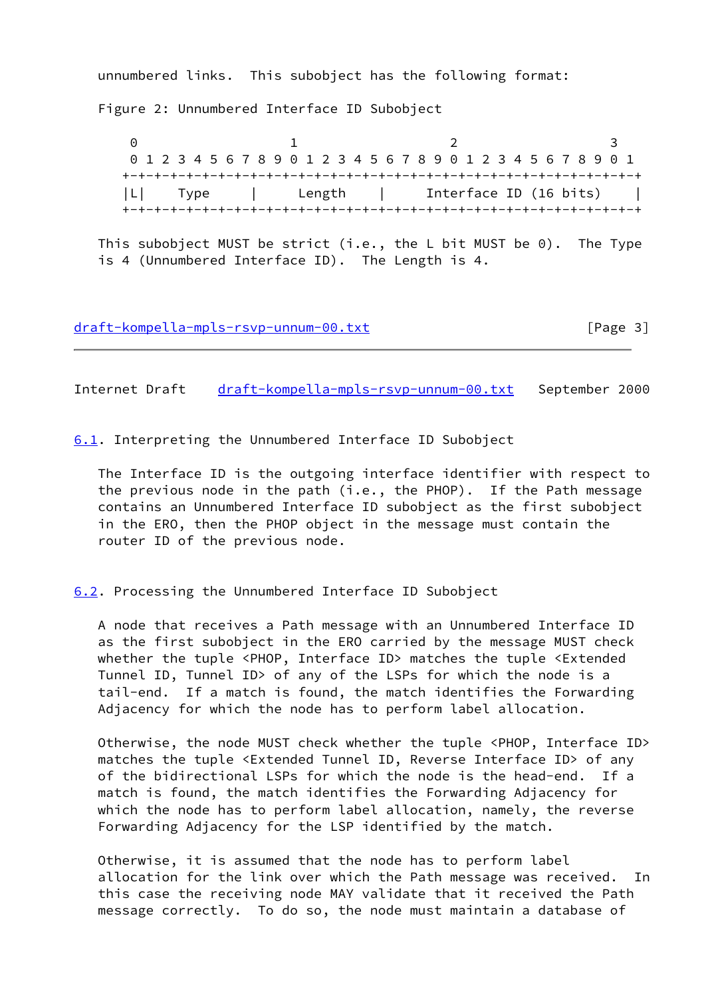unnumbered links. This subobject has the following format:

Figure 2: Unnumbered Interface ID Subobject

0 1 2 3 0 1 2 3 4 5 6 7 8 9 0 1 2 3 4 5 6 7 8 9 0 1 2 3 4 5 6 7 8 9 0 1 +-+-+-+-+-+-+-+-+-+-+-+-+-+-+-+-+-+-+-+-+-+-+-+-+-+-+-+-+-+-+-+-+ |L| Type | Length | Interface ID (16 bits) | +-+-+-+-+-+-+-+-+-+-+-+-+-+-+-+-+-+-+-+-+-+-+-+-+-+-+-+-+-+-+-+-+

 This subobject MUST be strict (i.e., the L bit MUST be 0). The Type is 4 (Unnumbered Interface ID). The Length is 4.

[draft-kompella-mpls-rsvp-unnum-00.txt](https://datatracker.ietf.org/doc/pdf/draft-kompella-mpls-rsvp-unnum-00.txt) [Page 3]

Internet Draft [draft-kompella-mpls-rsvp-unnum-00.txt](https://datatracker.ietf.org/doc/pdf/draft-kompella-mpls-rsvp-unnum-00.txt) September 2000

<span id="page-3-0"></span>[6.1](#page-3-0). Interpreting the Unnumbered Interface ID Subobject

 The Interface ID is the outgoing interface identifier with respect to the previous node in the path (i.e., the PHOP). If the Path message contains an Unnumbered Interface ID subobject as the first subobject in the ERO, then the PHOP object in the message must contain the router ID of the previous node.

<span id="page-3-1"></span>[6.2](#page-3-1). Processing the Unnumbered Interface ID Subobject

 A node that receives a Path message with an Unnumbered Interface ID as the first subobject in the ERO carried by the message MUST check whether the tuple <PHOP, Interface ID> matches the tuple <Extended Tunnel ID, Tunnel ID> of any of the LSPs for which the node is a tail-end. If a match is found, the match identifies the Forwarding Adjacency for which the node has to perform label allocation.

 Otherwise, the node MUST check whether the tuple <PHOP, Interface ID> matches the tuple <Extended Tunnel ID, Reverse Interface ID> of any of the bidirectional LSPs for which the node is the head-end. If a match is found, the match identifies the Forwarding Adjacency for which the node has to perform label allocation, namely, the reverse Forwarding Adjacency for the LSP identified by the match.

 Otherwise, it is assumed that the node has to perform label allocation for the link over which the Path message was received. In this case the receiving node MAY validate that it received the Path message correctly. To do so, the node must maintain a database of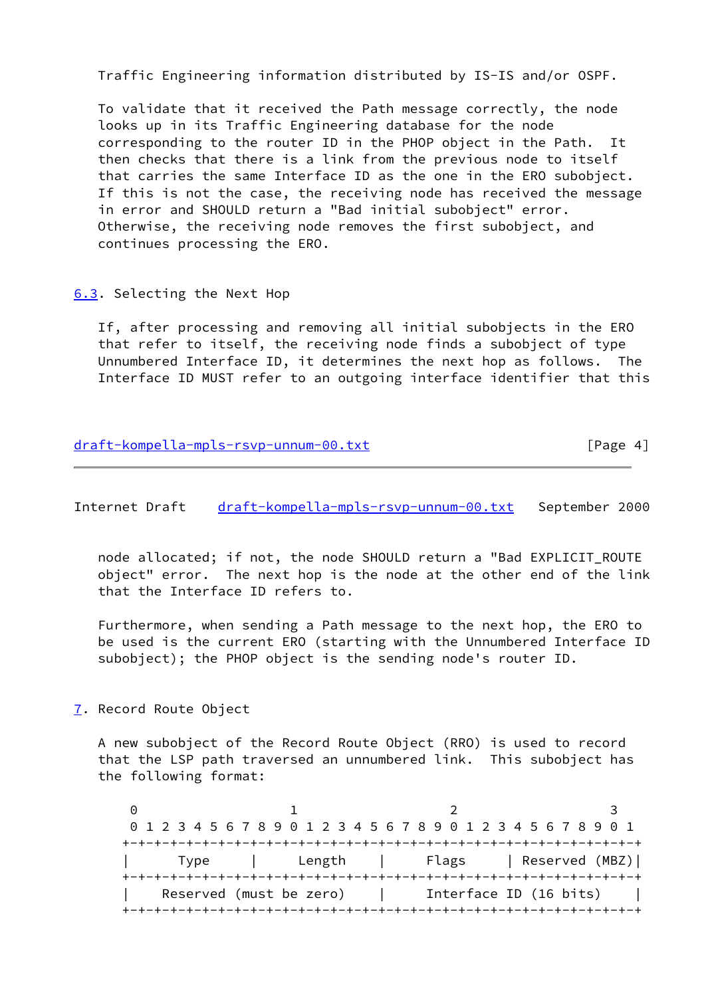Traffic Engineering information distributed by IS-IS and/or OSPF.

 To validate that it received the Path message correctly, the node looks up in its Traffic Engineering database for the node corresponding to the router ID in the PHOP object in the Path. It then checks that there is a link from the previous node to itself that carries the same Interface ID as the one in the ERO subobject. If this is not the case, the receiving node has received the message in error and SHOULD return a "Bad initial subobject" error. Otherwise, the receiving node removes the first subobject, and continues processing the ERO.

# <span id="page-4-0"></span>[6.3](#page-4-0). Selecting the Next Hop

 If, after processing and removing all initial subobjects in the ERO that refer to itself, the receiving node finds a subobject of type Unnumbered Interface ID, it determines the next hop as follows. The Interface ID MUST refer to an outgoing interface identifier that this

| draft-kompella-mpls-rsvp-unnum-00.txt | [Page 4] |
|---------------------------------------|----------|
|                                       |          |

Internet Draft [draft-kompella-mpls-rsvp-unnum-00.txt](https://datatracker.ietf.org/doc/pdf/draft-kompella-mpls-rsvp-unnum-00.txt) September 2000

 node allocated; if not, the node SHOULD return a "Bad EXPLICIT\_ROUTE object" error. The next hop is the node at the other end of the link that the Interface ID refers to.

 Furthermore, when sending a Path message to the next hop, the ERO to be used is the current ERO (starting with the Unnumbered Interface ID subobject); the PHOP object is the sending node's router ID.

<span id="page-4-1"></span>[7](#page-4-1). Record Route Object

 A new subobject of the Record Route Object (RRO) is used to record that the LSP path traversed an unnumbered link. This subobject has the following format:

0 1 2 3 0 1 2 3 4 5 6 7 8 9 0 1 2 3 4 5 6 7 8 9 0 1 2 3 4 5 6 7 8 9 0 1 +-+-+-+-+-+-+-+-+-+-+-+-+-+-+-+-+-+-+-+-+-+-+-+-+-+-+-+-+-+-+-+-+ | Type | Length | Flags | Reserved (MBZ)| +-+-+-+-+-+-+-+-+-+-+-+-+-+-+-+-+-+-+-+-+-+-+-+-+-+-+-+-+-+-+-+-+ Reserved (must be zero) | Interface ID (16 bits) +-+-+-+-+-+-+-+-+-+-+-+-+-+-+-+-+-+-+-+-+-+-+-+-+-+-+-+-+-+-+-+-+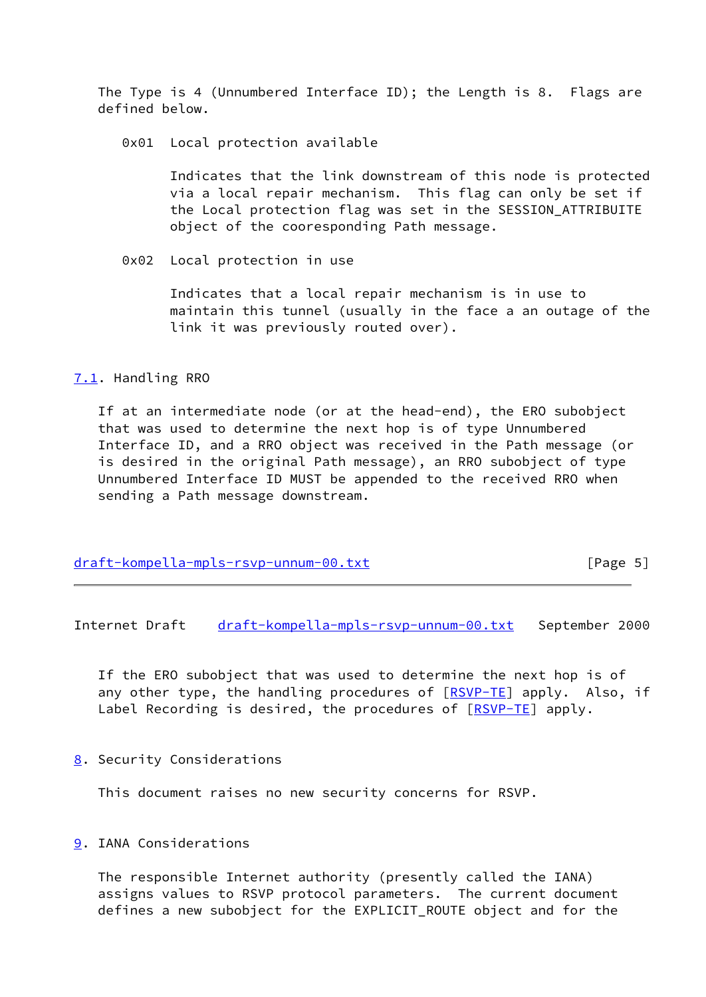The Type is 4 (Unnumbered Interface ID); the Length is 8. Flags are defined below.

0x01 Local protection available

 Indicates that the link downstream of this node is protected via a local repair mechanism. This flag can only be set if the Local protection flag was set in the SESSION\_ATTRIBUITE object of the cooresponding Path message.

0x02 Local protection in use

 Indicates that a local repair mechanism is in use to maintain this tunnel (usually in the face a an outage of the link it was previously routed over).

<span id="page-5-0"></span>[7.1](#page-5-0). Handling RRO

 If at an intermediate node (or at the head-end), the ERO subobject that was used to determine the next hop is of type Unnumbered Interface ID, and a RRO object was received in the Path message (or is desired in the original Path message), an RRO subobject of type Unnumbered Interface ID MUST be appended to the received RRO when sending a Path message downstream.

[draft-kompella-mpls-rsvp-unnum-00.txt](https://datatracker.ietf.org/doc/pdf/draft-kompella-mpls-rsvp-unnum-00.txt) [Page 5]

Internet Draft [draft-kompella-mpls-rsvp-unnum-00.txt](https://datatracker.ietf.org/doc/pdf/draft-kompella-mpls-rsvp-unnum-00.txt) September 2000

 If the ERO subobject that was used to determine the next hop is of any other type, the handling procedures of [[RSVP-TE\]](#page-6-2) apply. Also, if Label Recording is desired, the procedures of [[RSVP-TE](#page-6-2)] apply.

<span id="page-5-1"></span>[8](#page-5-1). Security Considerations

This document raises no new security concerns for RSVP.

<span id="page-5-2"></span>[9](#page-5-2). IANA Considerations

 The responsible Internet authority (presently called the IANA) assigns values to RSVP protocol parameters. The current document defines a new subobject for the EXPLICIT\_ROUTE object and for the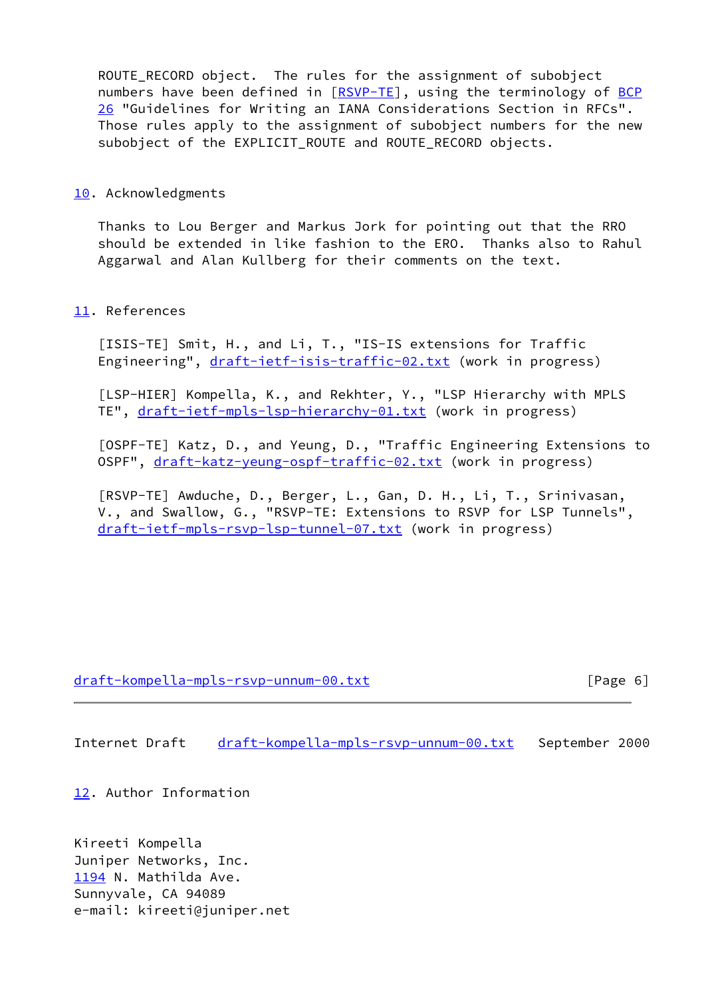ROUTE\_RECORD object. The rules for the assignment of subobject numbers have been defined in [\[RSVP-TE](#page-6-2)], using the terminology of [BCP](https://datatracker.ietf.org/doc/pdf/bcp26) [26](https://datatracker.ietf.org/doc/pdf/bcp26) "Guidelines for Writing an IANA Considerations Section in RFCs". Those rules apply to the assignment of subobject numbers for the new subobject of the EXPLICIT\_ROUTE and ROUTE\_RECORD objects.

#### <span id="page-6-4"></span>[10.](#page-6-4) Acknowledgments

 Thanks to Lou Berger and Markus Jork for pointing out that the RRO should be extended in like fashion to the ERO. Thanks also to Rahul Aggarwal and Alan Kullberg for their comments on the text.

## <span id="page-6-5"></span>[11.](#page-6-5) References

<span id="page-6-0"></span> [ISIS-TE] Smit, H., and Li, T., "IS-IS extensions for Traffic Engineering", [draft-ietf-isis-traffic-02.txt](https://datatracker.ietf.org/doc/pdf/draft-ietf-isis-traffic-02.txt) (work in progress)

<span id="page-6-3"></span> [LSP-HIER] Kompella, K., and Rekhter, Y., "LSP Hierarchy with MPLS TE", [draft-ietf-mpls-lsp-hierarchy-01.txt](https://datatracker.ietf.org/doc/pdf/draft-ietf-mpls-lsp-hierarchy-01.txt) (work in progress)

<span id="page-6-1"></span> [OSPF-TE] Katz, D., and Yeung, D., "Traffic Engineering Extensions to OSPF", [draft-katz-yeung-ospf-traffic-02.txt](https://datatracker.ietf.org/doc/pdf/draft-katz-yeung-ospf-traffic-02.txt) (work in progress)

<span id="page-6-2"></span> [RSVP-TE] Awduche, D., Berger, L., Gan, D. H., Li, T., Srinivasan, V., and Swallow, G., "RSVP-TE: Extensions to RSVP for LSP Tunnels", [draft-ietf-mpls-rsvp-lsp-tunnel-07.txt](https://datatracker.ietf.org/doc/pdf/draft-ietf-mpls-rsvp-lsp-tunnel-07.txt) (work in progress)

### [draft-kompella-mpls-rsvp-unnum-00.txt](https://datatracker.ietf.org/doc/pdf/draft-kompella-mpls-rsvp-unnum-00.txt) [Page 6]

Internet Draft [draft-kompella-mpls-rsvp-unnum-00.txt](https://datatracker.ietf.org/doc/pdf/draft-kompella-mpls-rsvp-unnum-00.txt) September 2000

<span id="page-6-6"></span>[12.](#page-6-6) Author Information

<span id="page-6-7"></span>Kireeti Kompella Juniper Networks, Inc. [1194](#page-6-7) N. Mathilda Ave. Sunnyvale, CA 94089 e-mail: kireeti@juniper.net